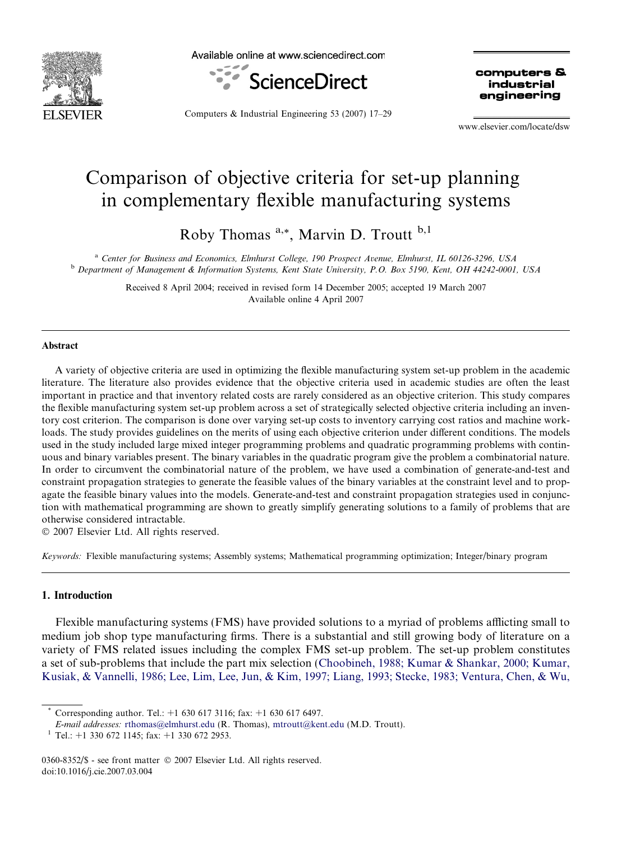

Available online at www.sciencedirect.com



computers & **industrial** engineering

Computers & Industrial Engineering 53 (2007) 17–29

www.elsevier.com/locate/dsw

## Comparison of objective criteria for set-up planning in complementary flexible manufacturing systems

Roby Thomas  $a,*$ , Marvin D. Troutt  $b,1$ 

<sup>a</sup> Center for Business and Economics, Elmhurst College, 190 Prospect Avenue, Elmhurst, IL 60126-3296, USA <sup>b</sup> Department of Management & Information Systems, Kent State University, P.O. Box 5190, Kent, OH 44242-0001, USA

> Received 8 April 2004; received in revised form 14 December 2005; accepted 19 March 2007 Available online 4 April 2007

### Abstract

A variety of objective criteria are used in optimizing the flexible manufacturing system set-up problem in the academic literature. The literature also provides evidence that the objective criteria used in academic studies are often the least important in practice and that inventory related costs are rarely considered as an objective criterion. This study compares the flexible manufacturing system set-up problem across a set of strategically selected objective criteria including an inventory cost criterion. The comparison is done over varying set-up costs to inventory carrying cost ratios and machine workloads. The study provides guidelines on the merits of using each objective criterion under different conditions. The models used in the study included large mixed integer programming problems and quadratic programming problems with continuous and binary variables present. The binary variables in the quadratic program give the problem a combinatorial nature. In order to circumvent the combinatorial nature of the problem, we have used a combination of generate-and-test and constraint propagation strategies to generate the feasible values of the binary variables at the constraint level and to propagate the feasible binary values into the models. Generate-and-test and constraint propagation strategies used in conjunction with mathematical programming are shown to greatly simplify generating solutions to a family of problems that are otherwise considered intractable.

 $© 2007 Elsevier Ltd. All rights reserved.$ 

Keywords: Flexible manufacturing systems; Assembly systems; Mathematical programming optimization; Integer/binary program

## 1. Introduction

Flexible manufacturing systems (FMS) have provided solutions to a myriad of problems afflicting small to medium job shop type manufacturing firms. There is a substantial and still growing body of literature on a variety of FMS related issues including the complex FMS set-up problem. The set-up problem constitutes a set of sub-problems that include the part mix selection [\(Choobineh, 1988; Kumar & Shankar, 2000; Kumar,](#page--1-0) [Kusiak, & Vannelli, 1986; Lee, Lim, Lee, Jun, & Kim, 1997; Liang, 1993; Stecke, 1983; Ventura, Chen, & Wu,](#page--1-0)

Corresponding author. Tel.:  $+1$  630 617 3116; fax:  $+1$  630 617 6497.

E-mail addresses: [rthomas@elmhurst.edu](mailto:rthomas@elmhurst.edu) (R. Thomas), [mtroutt@kent.edu](mailto:mtroutt@kent.edu) (M.D. Troutt). <sup>1</sup> Tel.: +1 330 672 1145; fax: +1 330 672 2953.

<sup>0360-8352/\$ -</sup> see front matter © 2007 Elsevier Ltd. All rights reserved. doi:10.1016/j.cie.2007.03.004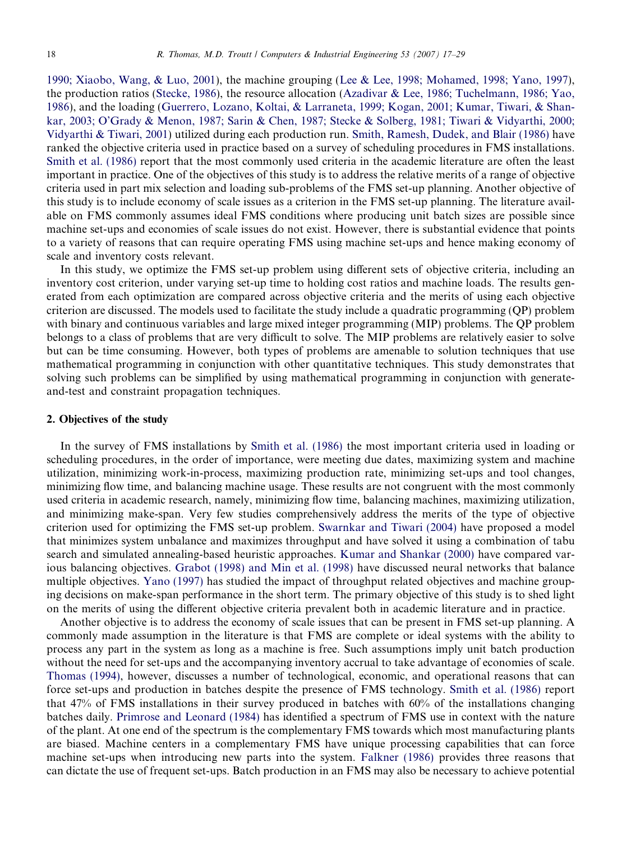[1990; Xiaobo, Wang, & Luo, 2001](#page--1-0)), the machine grouping ([Lee & Lee, 1998; Mohamed, 1998; Yano, 1997](#page--1-0)), the production ratios ([Stecke, 1986\)](#page--1-0), the resource allocation ([Azadivar & Lee, 1986; Tuchelmann, 1986; Yao,](#page--1-0) [1986](#page--1-0)), and the loading ([Guerrero, Lozano, Koltai, & Larraneta, 1999; Kogan, 2001; Kumar, Tiwari, & Shan](#page--1-0)[kar, 2003; O'Grady & Menon, 1987; Sarin & Chen, 1987; Stecke & Solberg, 1981; Tiwari & Vidyarthi, 2000;](#page--1-0) [Vidyarthi & Tiwari, 2001](#page--1-0)) utilized during each production run. [Smith, Ramesh, Dudek, and Blair \(1986\)](#page--1-0) have ranked the objective criteria used in practice based on a survey of scheduling procedures in FMS installations. [Smith et al. \(1986\)](#page--1-0) report that the most commonly used criteria in the academic literature are often the least important in practice. One of the objectives of this study is to address the relative merits of a range of objective criteria used in part mix selection and loading sub-problems of the FMS set-up planning. Another objective of this study is to include economy of scale issues as a criterion in the FMS set-up planning. The literature available on FMS commonly assumes ideal FMS conditions where producing unit batch sizes are possible since machine set-ups and economies of scale issues do not exist. However, there is substantial evidence that points to a variety of reasons that can require operating FMS using machine set-ups and hence making economy of scale and inventory costs relevant.

In this study, we optimize the FMS set-up problem using different sets of objective criteria, including an inventory cost criterion, under varying set-up time to holding cost ratios and machine loads. The results generated from each optimization are compared across objective criteria and the merits of using each objective criterion are discussed. The models used to facilitate the study include a quadratic programming (QP) problem with binary and continuous variables and large mixed integer programming (MIP) problems. The QP problem belongs to a class of problems that are very difficult to solve. The MIP problems are relatively easier to solve but can be time consuming. However, both types of problems are amenable to solution techniques that use mathematical programming in conjunction with other quantitative techniques. This study demonstrates that solving such problems can be simplified by using mathematical programming in conjunction with generateand-test and constraint propagation techniques.

### 2. Objectives of the study

In the survey of FMS installations by [Smith et al. \(1986\)](#page--1-0) the most important criteria used in loading or scheduling procedures, in the order of importance, were meeting due dates, maximizing system and machine utilization, minimizing work-in-process, maximizing production rate, minimizing set-ups and tool changes, minimizing flow time, and balancing machine usage. These results are not congruent with the most commonly used criteria in academic research, namely, minimizing flow time, balancing machines, maximizing utilization, and minimizing make-span. Very few studies comprehensively address the merits of the type of objective criterion used for optimizing the FMS set-up problem. [Swarnkar and Tiwari \(2004\)](#page--1-0) have proposed a model that minimizes system unbalance and maximizes throughput and have solved it using a combination of tabu search and simulated annealing-based heuristic approaches. [Kumar and Shankar \(2000\)](#page--1-0) have compared various balancing objectives. [Grabot \(1998\) and Min et al. \(1998\)](#page--1-0) have discussed neural networks that balance multiple objectives. [Yano \(1997\)](#page--1-0) has studied the impact of throughput related objectives and machine grouping decisions on make-span performance in the short term. The primary objective of this study is to shed light on the merits of using the different objective criteria prevalent both in academic literature and in practice.

Another objective is to address the economy of scale issues that can be present in FMS set-up planning. A commonly made assumption in the literature is that FMS are complete or ideal systems with the ability to process any part in the system as long as a machine is free. Such assumptions imply unit batch production without the need for set-ups and the accompanying inventory accrual to take advantage of economies of scale. [Thomas \(1994\)](#page--1-0), however, discusses a number of technological, economic, and operational reasons that can force set-ups and production in batches despite the presence of FMS technology. [Smith et al. \(1986\)](#page--1-0) report that 47% of FMS installations in their survey produced in batches with 60% of the installations changing batches daily. [Primrose and Leonard \(1984\)](#page--1-0) has identified a spectrum of FMS use in context with the nature of the plant. At one end of the spectrum is the complementary FMS towards which most manufacturing plants are biased. Machine centers in a complementary FMS have unique processing capabilities that can force machine set-ups when introducing new parts into the system. [Falkner \(1986\)](#page--1-0) provides three reasons that can dictate the use of frequent set-ups. Batch production in an FMS may also be necessary to achieve potential